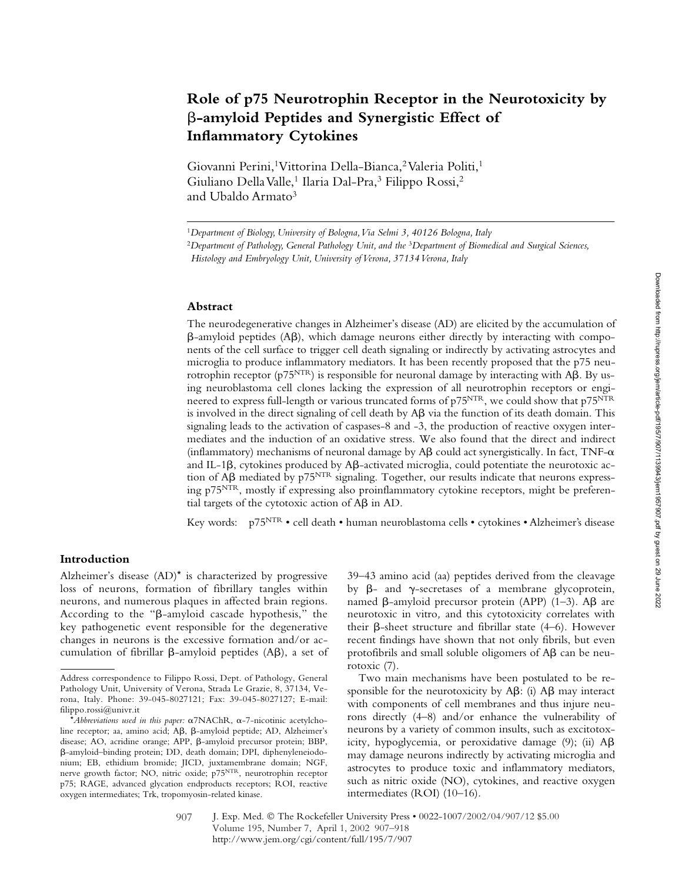# **Role of p75 Neurotrophin Receptor in the Neurotoxicity by**  -**-amyloid Peptides and Synergistic Effect of Inflammatory Cytokines**

Giovanni Perini,<sup>1</sup> Vittorina Della-Bianca,<sup>2</sup> Valeria Politi,<sup>1</sup> Giuliano Della Valle,<sup>1</sup> Ilaria Dal-Pra,<sup>3</sup> Filippo Rossi,<sup>2</sup> and Ubaldo Armato<sup>3</sup>

#### **Abstract**

The neurodegenerative changes in Alzheimer's disease (AD) are elicited by the accumulation of β-amyloid peptides (Aβ), which damage neurons either directly by interacting with components of the cell surface to trigger cell death signaling or indirectly by activating astrocytes and microglia to produce inflammatory mediators. It has been recently proposed that the p75 neurotrophin receptor (p75 $\rm {NTR}$ ) is responsible for neuronal damage by interacting with A $\rm \beta$ . By using neuroblastoma cell clones lacking the expression of all neurotrophin receptors or engineered to express full-length or various truncated forms of p75NTR, we could show that p75NTR is involved in the direct signaling of cell death by  $\mathsf{A}\beta$  via the function of its death domain. This signaling leads to the activation of caspases-8 and -3, the production of reactive oxygen intermediates and the induction of an oxidative stress. We also found that the direct and indirect (inflammatory) mechanisms of neuronal damage by  $A\beta$  could act synergistically. In fact, TNF- $\alpha$ and IL-1 $\beta$ , cytokines produced by A $\beta$ -activated microglia, could potentiate the neurotoxic action of A $\beta$  mediated by p75<sup>NTR</sup> signaling. Together, our results indicate that neurons expressing  $p75<sup>NTR</sup>$ , mostly if expressing also proinflammatory cytokine receptors, might be preferential targets of the cytotoxic action of  $A\beta$  in AD.

Key words: p75NTR • cell death • human neuroblastoma cells • cytokines • Alzheimer's disease

### **Introduction**

Alzheimer's disease (AD)\* is characterized by progressive loss of neurons, formation of fibrillary tangles within neurons, and numerous plaques in affected brain regions. According to the " $\beta$ -amyloid cascade hypothesis," the key pathogenetic event responsible for the degenerative changes in neurons is the excessive formation and/or accumulation of fibrillar  $\beta$ -amyloid peptides (A $\beta$ ), a set of

39–43 amino acid (aa) peptides derived from the cleavage by  $\beta$ - and  $\gamma$ -secretases of a membrane glycoprotein, named  $\beta$ -amyloid precursor protein (APP) (1–3). A $\beta$  are neurotoxic in vitro*,* and this cytotoxicity correlates with their  $\beta$ -sheet structure and fibrillar state (4–6). However recent findings have shown that not only fibrils, but even protofibrils and small soluble oligomers of  $A\beta$  can be neurotoxic (7).

Two main mechanisms have been postulated to be responsible for the neurotoxicity by  $A\beta$ : (i)  $A\beta$  may interact with components of cell membranes and thus injure neurons directly (4–8) and/or enhance the vulnerability of neurons by a variety of common insults, such as excitotoxicity, hypoglycemia, or peroxidative damage  $(9)$ ; (ii)  $A\beta$ may damage neurons indirectly by activating microglia and astrocytes to produce toxic and inflammatory mediators, such as nitric oxide (NO), cytokines, and reactive oxygen intermediates (ROI) (10–16).

<sup>1</sup>*Department of Biology, University of Bologna, Via Selmi 3, 40126 Bologna, Italy*

<sup>2</sup>*Department of Pathology, General Pathology Unit, and the* <sup>3</sup>*Department of Biomedical and Surgical Sciences,* 

*Histology and Embryology Unit, University of Verona, 37134 Verona, Italy*

Address correspondence to Filippo Rossi, Dept. of Pathology, General Pathology Unit, University of Verona, Strada Le Grazie, 8, 37134, Verona, Italy. Phone: 39-045-8027121; Fax: 39-045-8027127; E-mail: filippo.rossi@univr.it

<sup>\*</sup>Abbreviations used in this paper: α7NAChR, α-7-nicotinic acetylcholine receptor; aa, amino acid; Aβ, β-amyloid peptide; AD, Alzheimer's disease; AO, acridine orange; APP,  $\beta$ -amyloid precursor protein; BBP, --amyloid–binding protein; DD, death domain; DPI, diphenyleneiodonium; EB, ethidium bromide; JICD, juxtamembrane domain; NGF, nerve growth factor; NO, nitric oxide; p75NTR, neurotrophin receptor p75; RAGE, advanced glycation endproducts receptors; ROI, reactive oxygen intermediates; Trk, tropomyosin-related kinase.

J. Exp. Med. © The Rockefeller University Press • 0022-1007/2002/04/907/12 \$5.00 Volume 195, Number 7, April 1, 2002 907–918 http://www.jem.org/cgi/content/full/195/7/907 907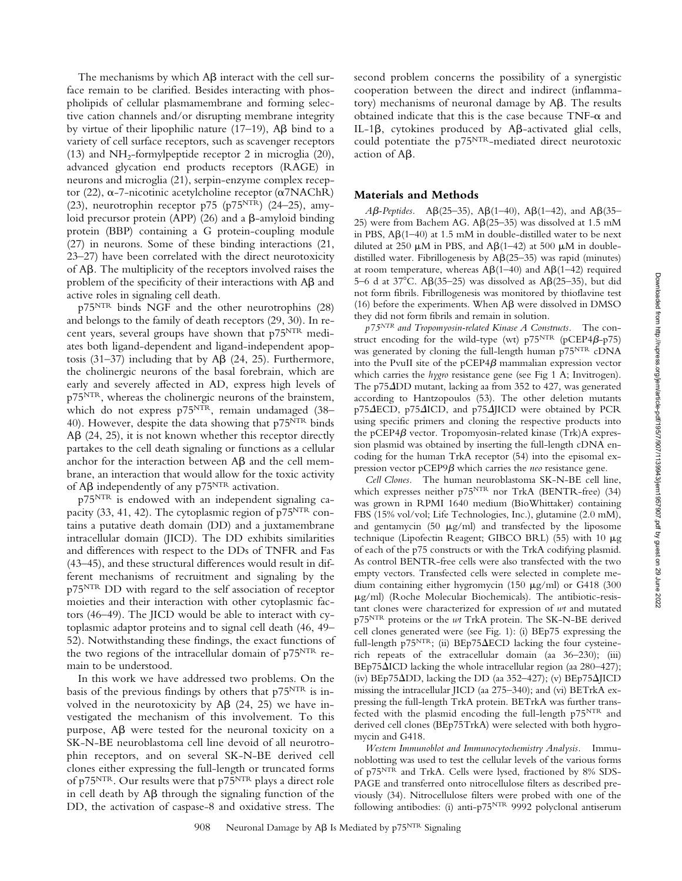The mechanisms by which  $\mathsf{A}\beta$  interact with the cell surface remain to be clarified. Besides interacting with phospholipids of cellular plasmamembrane and forming selective cation channels and/or disrupting membrane integrity by virtue of their lipophilic nature  $(17-19)$ , A $\beta$  bind to a variety of cell surface receptors, such as scavenger receptors (13) and  $NH<sub>2</sub>$ -formylpeptide receptor 2 in microglia (20), advanced glycation end products receptors (RAGE) in neurons and microglia (21), serpin-enzyme complex receptor (22),  $\alpha$ -7-nicotinic acetylcholine receptor ( $\alpha$ 7NAChR) (23), neurotrophin receptor p75 (p75 $NTR$ ) (24-25), amyloid precursor protein (APP) (26) and a  $\beta$ -amyloid binding protein (BBP) containing a G protein-coupling module (27) in neurons. Some of these binding interactions (21, 23–27) have been correlated with the direct neurotoxicity of Aß. The multiplicity of the receptors involved raises the problem of the specificity of their interactions with  $A\beta$  and active roles in signaling cell death.

p75NTR binds NGF and the other neurotrophins (28) and belongs to the family of death receptors (29, 30). In recent years, several groups have shown that p75NTR mediates both ligand-dependent and ligand-independent apoptosis (31-37) including that by  $\mathsf{AB}$  (24, 25). Furthermore, the cholinergic neurons of the basal forebrain, which are early and severely affected in AD, express high levels of p75NTR, whereas the cholinergic neurons of the brainstem, which do not express p75NTR, remain undamaged (38-40). However, despite the data showing that p75<sup>NTR</sup> binds  $\mathsf{AB}(24, 25)$ , it is not known whether this receptor directly partakes to the cell death signaling or functions as a cellular anchor for the interaction between  $A\beta$  and the cell membrane, an interaction that would allow for the toxic activity of A $\beta$  independently of any p75<sup>NTR</sup> activation.

p75NTR is endowed with an independent signaling capacity (33, 41, 42). The cytoplasmic region of p75NTR contains a putative death domain (DD) and a juxtamembrane intracellular domain (JICD). The DD exhibits similarities and differences with respect to the DDs of TNFR and Fas (43–45), and these structural differences would result in different mechanisms of recruitment and signaling by the p75NTR DD with regard to the self association of receptor moieties and their interaction with other cytoplasmic factors (46–49). The JICD would be able to interact with cytoplasmic adaptor proteins and to signal cell death (46, 49– 52). Notwithstanding these findings, the exact functions of the two regions of the intracellular domain of p75NTR remain to be understood.

In this work we have addressed two problems. On the basis of the previous findings by others that p75NTR is involved in the neurotoxicity by  $\mathsf{AB}$  (24, 25) we have investigated the mechanism of this involvement. To this purpose,  $A\beta$  were tested for the neuronal toxicity on a SK-N-BE neuroblastoma cell line devoid of all neurotrophin receptors, and on several SK-N-BE derived cell clones either expressing the full-length or truncated forms of p75NTR. Our results were that p75NTR plays a direct role in cell death by  $A\beta$  through the signaling function of the DD, the activation of caspase-8 and oxidative stress. The

second problem concerns the possibility of a synergistic cooperation between the direct and indirect (inflammatory) mechanisms of neuronal damage by  $A\beta$ . The results obtained indicate that this is the case because  $TNF-\alpha$  and IL-1 $\beta$ , cytokines produced by A $\beta$ -activated glial cells, could potentiate the p75<sup>NTR</sup>-mediated direct neurotoxic action of  $A\beta$ .

#### **Materials and Methods**

 $A\beta$ -Peptides. A $\beta$ (25–35), A $\beta$ (1–40), A $\beta$ (1–42), and A $\beta$ (35– 25) were from Bachem AG.  $A\beta(25-35)$  was dissolved at 1.5 mM in PBS,  $A\beta(1-40)$  at 1.5 mM in double-distilled water to be next diluted at 250  $\mu$ M in PBS, and A $\beta$ (1-42) at 500  $\mu$ M in doubledistilled water. Fibrillogenesis by  $A\beta(25-35)$  was rapid (minutes) at room temperature, whereas  $A\beta(1-40)$  and  $A\beta(1-42)$  required 5–6 d at 37°C. A $\beta$ (35–25) was dissolved as A $\beta$ (25–35), but did not form fibrils. Fibrillogenesis was monitored by thioflavine test (16) before the experiments. When  $\mathsf{A}\mathsf{B}$  were dissolved in DMSO they did not form fibrils and remain in solution.

*p75NTR and Tropomyosin-related Kinase A Constructs.* The construct encoding for the wild-type (wt)  $p75^{NTR}$  (pCEP4 $\beta$ -p75) was generated by cloning the full-length human p75<sup>NTR</sup> cDNA into the PvuII site of the  $pCEP4\beta$  mammalian expression vector which carries the *hygro* resistance gene (see Fig 1 A; Invitrogen). The  $p75\Delta D$ D mutant, lacking aa from 352 to 427, was generated according to Hantzopoulos (53). The other deletion mutants p75 $\triangle ECD$ , p75 $\triangle ICD$ , and p75 $\triangle I$ JICD were obtained by PCR using specific primers and cloning the respective products into the pCEP4 $\beta$  vector. Tropomyosin-related kinase (Trk)A expression plasmid was obtained by inserting the full-length cDNA encoding for the human TrkA receptor (54) into the episomal expression vector pCEP9 $\beta$  which carries the *neo* resistance gene.

*Cell Clones.* The human neuroblastoma SK-N-BE cell line, which expresses neither p75<sup>NTR</sup> nor TrkA (BENTR-free) (34) was grown in RPMI 1640 medium (BioWhittaker) containing FBS (15% vol/vol; Life Technologies, Inc.), glutamine (2.0 mM), and gentamycin (50  $\mu$ g/ml) and transfected by the liposome technique (Lipofectin Reagent; GIBCO BRL) (55) with 10  $\mu$ g of each of the p75 constructs or with the TrkA codifying plasmid. As control BENTR-free cells were also transfected with the two empty vectors. Transfected cells were selected in complete medium containing either hygromycin (150  $\mu$ g/ml) or G418 (300 g/ml) (Roche Molecular Biochemicals). The antibiotic-resistant clones were characterized for expression of *wt* and mutated p75NTR proteins or the *wt* TrkA protein. The SK-N-BE derived cell clones generated were (see Fig. 1): (i) BEp75 expressing the full-length p75<sup>NTR</sup>; (ii) BEp75 $\Delta$ ECD lacking the four cysteinerich repeats of the extracellular domain (aa 36–230); (iii)  $BEp75\Delta ICD$  lacking the whole intracellular region (aa 280–427); (iv) BEp75 $\Delta$ DD, lacking the DD (aa 352–427); (v) BEp75 $\Delta$ JICD missing the intracellular JICD (aa 275–340); and (vi) BETrkA expressing the full-length TrkA protein. BETrkA was further transfected with the plasmid encoding the full-length  $p75<sup>NTR</sup>$  and derived cell clones (BEp75TrkA) were selected with both hygromycin and G418.

*Western Immunoblot and Immunocytochemistry Analysis.* Immunoblotting was used to test the cellular levels of the various forms of p75NTR and TrkA. Cells were lysed, fractioned by 8% SDS-PAGE and transferred onto nitrocellulose filters as described previously (34). Nitrocellulose filters were probed with one of the following antibodies: (i) anti-p75NTR 9992 polyclonal antiserum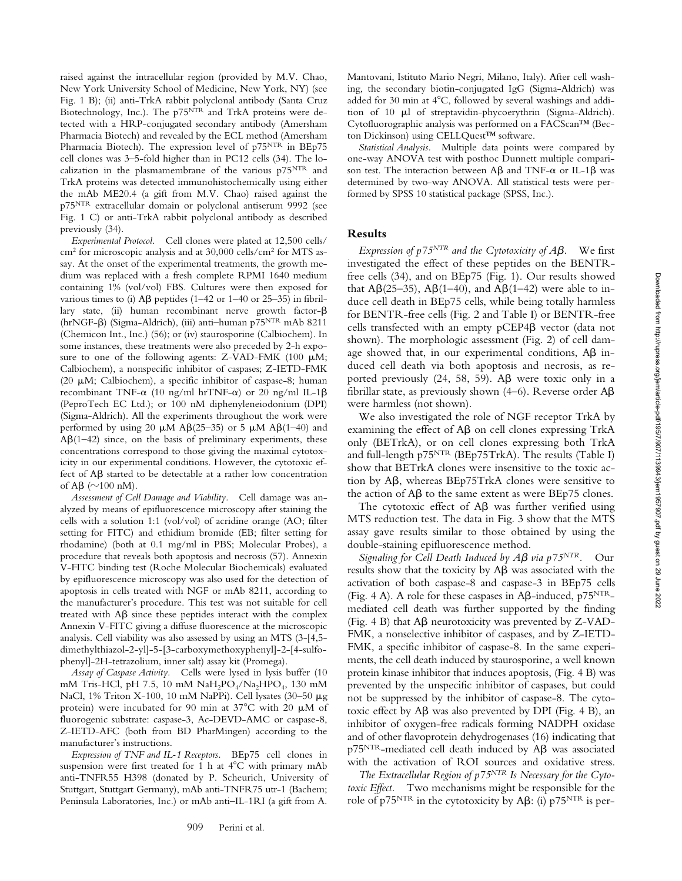raised against the intracellular region (provided by M.V. Chao, New York University School of Medicine, New York, NY) (see Fig. 1 B); (ii) anti-TrkA rabbit polyclonal antibody (Santa Cruz Biotechnology, Inc.). The p75<sup>NTR</sup> and TrkA proteins were detected with a HRP-conjugated secondary antibody (Amersham Pharmacia Biotech) and revealed by the ECL method (Amersham Pharmacia Biotech). The expression level of p75NTR in BEp75 cell clones was 3–5-fold higher than in PC12 cells (34). The localization in the plasmamembrane of the various p75NTR and TrkA proteins was detected immunohistochemically using either the mAb ME20.4 (a gift from M.V. Chao) raised against the p75NTR extracellular domain or polyclonal antiserum 9992 (see Fig. 1 C) or anti-TrkA rabbit polyclonal antibody as described previously (34).

*Experimental Protocol.* Cell clones were plated at 12,500 cells/ cm2 for microscopic analysis and at 30,000 cells/cm2 for MTS assay. At the onset of the experimental treatments, the growth medium was replaced with a fresh complete RPMI 1640 medium containing 1% (vol/vol) FBS. Cultures were then exposed for various times to (i)  $\text{A}\beta$  peptides (1–42 or 1–40 or 25–35) in fibrillary state, (ii) human recombinant nerve growth factor- $\beta$ (hrNGF- $\beta$ ) (Sigma-Aldrich), (iii) anti-human p75<sup>NTR</sup> mAb 8211 (Chemicon Int., Inc.) (56); or (iv) staurosporine (Calbiochem). In some instances, these treatments were also preceded by 2-h exposure to one of the following agents: Z-VAD-FMK (100  $\mu$ M; Calbiochem), a nonspecific inhibitor of caspases; Z-IETD-FMK (20  $\mu$ M; Calbiochem), a specific inhibitor of caspase-8; human recombinant TNF- $\alpha$  (10 ng/ml hrTNF- $\alpha$ ) or 20 ng/ml IL-1 $\beta$ (PeproTech EC Ltd.); or 100 nM diphenyleneiodonium (DPI) (Sigma-Aldrich). All the experiments throughout the work were performed by using 20  $\mu$ M A $\beta$ (25–35) or 5  $\mu$ M A $\beta$ (1–40) and  $\text{AB}(1-42)$  since, on the basis of preliminary experiments, these concentrations correspond to those giving the maximal cytotoxicity in our experimental conditions. However, the cytotoxic effect of  $A\beta$  started to be detectable at a rather low concentration of A $\beta$  ( $\sim$ 100 nM).

*Assessment of Cell Damage and Viability.* Cell damage was analyzed by means of epifluorescence microscopy after staining the cells with a solution 1:1 (vol/vol) of acridine orange (AO; filter setting for FITC) and ethidium bromide (EB; filter setting for rhodamine) (both at 0.1 mg/ml in PBS; Molecular Probes), a procedure that reveals both apoptosis and necrosis (57). Annexin V-FITC binding test (Roche Molecular Biochemicals) evaluated by epifluorescence microscopy was also used for the detection of apoptosis in cells treated with NGF or mAb 8211, according to the manufacturer's procedure. This test was not suitable for cell treated with  $\mathsf{A}\mathsf{B}$  since these peptides interact with the complex Annexin V-FITC giving a diffuse fluorescence at the microscopic analysis. Cell viability was also assessed by using an MTS (3-[4,5 dimethylthiazol-2-yl]-5-[3-carboxymethoxyphenyl]-2-[4-sulfophenyl]-2H-tetrazolium, inner salt) assay kit (Promega).

*Assay of Caspase Activity.* Cells were lysed in lysis buffer (10 mM Tris-HCl, pH 7.5, 10 mM NaH<sub>2</sub>PO<sub>4</sub>/Na<sub>2</sub>HPO<sub>4</sub>, 130 mM NaCl, 1% Triton X-100, 10 mM NaPPi). Cell lysates (30-50  $\mu$ g protein) were incubated for 90 min at  $37^{\circ}$ C with 20  $\mu$ M of fluorogenic substrate: caspase-3, Ac-DEVD-AMC or caspase-8, Z-IETD-AFC (both from BD PharMingen) according to the manufacturer's instructions.

*Expression of TNF and IL-1 Receptors.* BEp75 cell clones in suspension were first treated for 1 h at  $4^{\circ}$ C with primary mAb anti-TNFR55 H398 (donated by P. Scheurich, University of Stuttgart, Stuttgart Germany), mAb anti-TNFR75 utr-1 (Bachem; Peninsula Laboratories, Inc.) or mAb anti–IL-1RI (a gift from A.

Mantovani, Istituto Mario Negri, Milano, Italy). After cell washing, the secondary biotin-conjugated IgG (Sigma-Aldrich) was added for 30 min at 4°C, followed by several washings and addition of 10  $\mu$ l of streptavidin-phycoerythrin (Sigma-Aldrich). Cytofluorographic analysis was performed on a FACScan™ (Becton Dickinson) using CELLQuest™ software.

*Statistical Analysis.* Multiple data points were compared by one-way ANOVA test with posthoc Dunnett multiple comparison test. The interaction between A $\beta$  and TNF- $\alpha$  or IL-1 $\beta$  was determined by two-way ANOVA. All statistical tests were performed by SPSS 10 statistical package (SPSS, Inc.).

### **Results**

*Expression of p75<sup>NTR</sup> and the Cytotoxicity of*  $\overline{AB}$ *.* We first investigated the effect of these peptides on the BENTRfree cells (34), and on BEp75 (Fig. 1). Our results showed that A $\beta$ (25–35), A $\beta$ (1–40), and A $\beta$ (1–42) were able to induce cell death in BEp75 cells, while being totally harmless for BENTR-free cells (Fig. 2 and Table I) or BENTR-free cells transfected with an empty pCEP4 $\beta$  vector (data not shown). The morphologic assessment (Fig. 2) of cell damage showed that, in our experimental conditions,  $\mathsf{A}\mathsf{B}$  induced cell death via both apoptosis and necrosis, as reported previously  $(24, 58, 59)$ . A $\beta$  were toxic only in a fibrillar state, as previously shown (4–6). Reverse order  $A\beta$ were harmless (not shown).

We also investigated the role of NGF receptor TrkA by examining the effect of  $A\beta$  on cell clones expressing  $TrkA$ only (BETrkA), or on cell clones expressing both TrkA and full-length p75<sup>NTR</sup> (BEp75TrkA). The results (Table I) show that BETrkA clones were insensitive to the toxic action by A $\beta$ , whereas BEp75TrkA clones were sensitive to the action of  $\text{A}\beta$  to the same extent as were BEp75 clones.

The cytotoxic effect of  $A\beta$  was further verified using MTS reduction test. The data in Fig. 3 show that the MTS assay gave results similar to those obtained by using the double-staining epifluorescence method.

*Signaling for Cell Death Induced by*  $A\beta$  *via p75<sup>NTR</sup>.* Our results show that the toxicity by  $A\beta$  was associated with the activation of both caspase-8 and caspase-3 in BEp75 cells (Fig. 4 A). A role for these caspases in A $\beta$ -induced, p $75^{NTR}$ mediated cell death was further supported by the finding (Fig. 4 B) that  $A\beta$  neurotoxicity was prevented by Z-VAD-FMK, a nonselective inhibitor of caspases, and by Z-IETD-FMK, a specific inhibitor of caspase-8. In the same experiments, the cell death induced by staurosporine, a well known protein kinase inhibitor that induces apoptosis, (Fig. 4 B) was prevented by the unspecific inhibitor of caspases, but could not be suppressed by the inhibitor of caspase-8. The cytotoxic effect by  $\mathsf{A}\mathsf{B}$  was also prevented by DPI (Fig. 4 B), an inhibitor of oxygen-free radicals forming NADPH oxidase and of other flavoprotein dehydrogenases (16) indicating that  $p75<sup>NTR</sup>$ -mediated cell death induced by A $\beta$  was associated with the activation of ROI sources and oxidative stress.

*The Extracellular Region of p75NTR Is Necessary for the Cytotoxic Effect.* Two mechanisms might be responsible for the role of p75 $^{\mathrm{NTR}}$  in the cytotoxicity by A $\beta$ : (i) p75 $^{ \mathrm{NTR}}$  is per-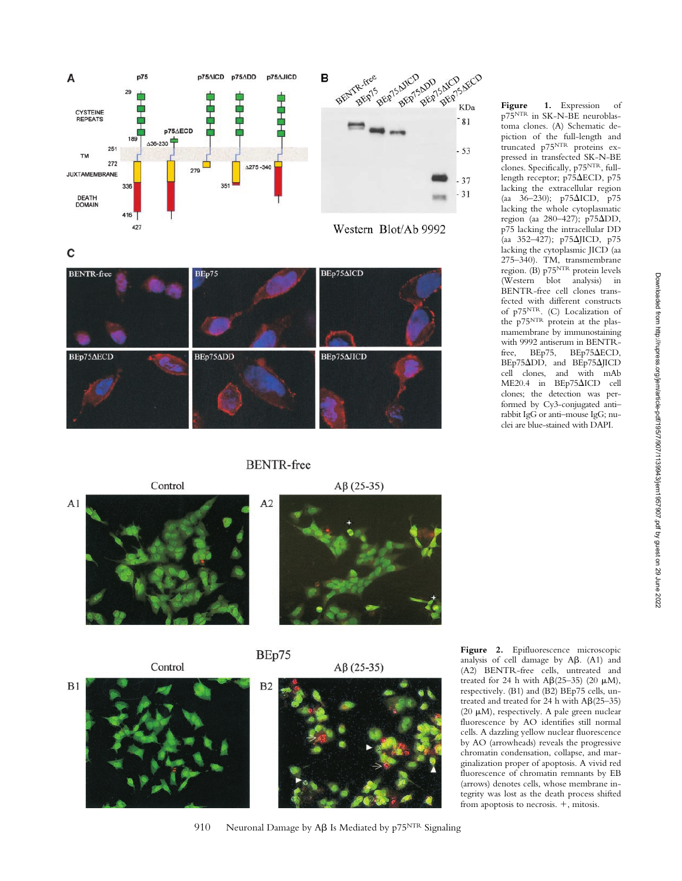



 $A1$ 

 $B1$ 



## **BENTR-free**

BEp75









Control





**Figure 1.** Expression of p75NTR in SK-N-BE neuroblastoma clones. (A) Schematic depiction of the full-length and truncated p75NTR proteins expressed in transfected SK-N-BE clones. Specifically, p75NTR, fulllength receptor; p75ECD, p75 lacking the extracellular region (aa 36–230);  $p75\Delta ICD$ ,  $p75$ lacking the whole cytoplasmatic region (aa 280–427); p75 $\Delta$ DD, p75 lacking the intracellular DD (aa 352–427); p75JICD, p75 lacking the cytoplasmic JICD (aa 275–340). TM, transmembrane region. (B) p75<sup>NTR</sup> protein levels (Western blot analysis) in BENTR-free cell clones transfected with different constructs of p75<sup>NTR</sup>. (C) Localization of the p75NTR protein at the plasmamembrane by immunostaining with 9992 antiserum in BENTRfree, BEp75, BEp75 $\triangle ECD$ , BEp75 $\Delta$ DD, and BEp75 $\Delta$ JICD cell clones, and with mAb  $ME20.4$  in  $BEp75\Delta ICD$  cell clones; the detection was performed by Cy3-conjugated anti– rabbit IgG or anti–mouse IgG; nuclei are blue-stained with DAPI.

**Figure 2.** Epifluorescence microscopic analysis of cell damage by  $A\beta$ .  $(A1)$  and (A2) BENTR-free cells, untreated and treated for 24 h with  $\text{A}\beta(25-35)$  (20  $\mu$ M), respectively. (B1) and (B2) BEp75 cells, untreated and treated for 24 h with  $A\beta(25-35)$ (20  $\mu$ M), respectively. A pale green nuclear fluorescence by AO identifies still normal cells. A dazzling yellow nuclear fluorescence by AO (arrowheads) reveals the progressive chromatin condensation, collapse, and marginalization proper of apoptosis. A vivid red fluorescence of chromatin remnants by EB (arrows) denotes cells, whose membrane integrity was lost as the death process shifted from apoptosis to necrosis.  $+$ , mitosis.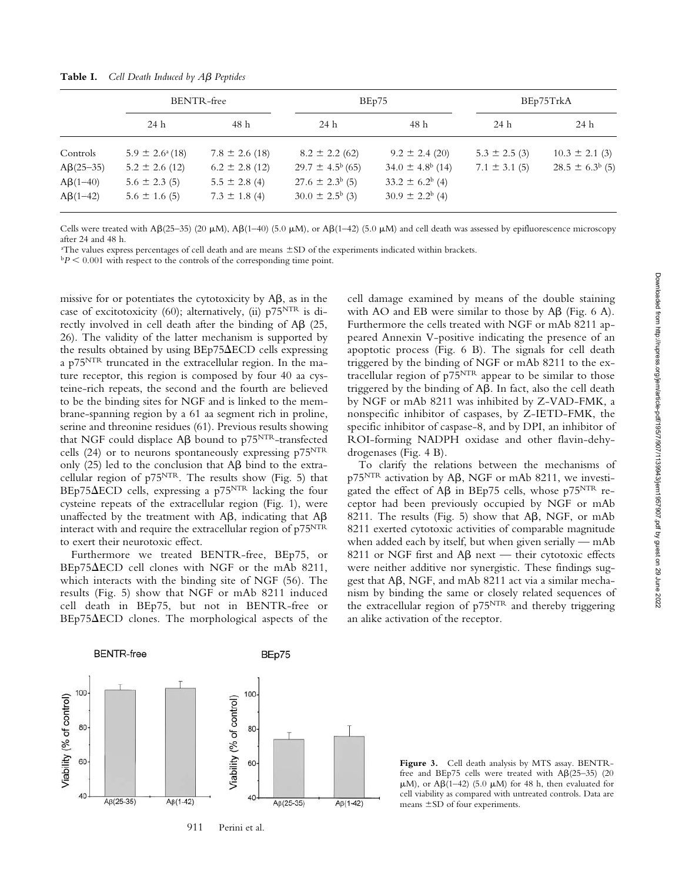|                 | BENTR-free                 |                    | BEp75                      |                             | BEp75TrkA         |                        |
|-----------------|----------------------------|--------------------|----------------------------|-----------------------------|-------------------|------------------------|
|                 | 24 h                       | 48 h               | 24 h                       | 48 h                        | 24 h              | 24 h                   |
| Controls        | $5.9 \pm 2.6^{\circ}$ (18) | $7.8 \pm 2.6$ (18) | $8.2 \pm 2.2$ (62)         | $9.2 \pm 2.4$ (20)          | $5.3 \pm 2.5$ (3) | $10.3 \pm 2.1$ (3)     |
| $A\beta(25-35)$ | $5.2 \pm 2.6$ (12)         | $6.2 \pm 2.8$ (12) | $29.7 \pm 4.5^{b}$ (65)    | $34.0 \pm 4.8^{\circ}$ (14) | $7.1 \pm 3.1$ (5) | $28.5 \pm 6.3^{b}$ (5) |
| $A\beta(1-40)$  | $5.6 \pm 2.3$ (5)          | $5.5 \pm 2.8$ (4)  | $27.6 \pm 2.3^{b}$ (5)     | $33.2 \pm 6.2^b$ (4)        |                   |                        |
| $A\beta(1-42)$  | $5.6 \pm 1.6$ (5)          | $7.3 \pm 1.8$ (4)  | $30.0 \pm 2.5^{\circ}$ (3) | $30.9 \pm 2.2^b$ (4)        |                   |                        |

Table I. Cell Death Induced by A<sub>B</sub> Peptides

Cells were treated with  $\text{AG}(25-35)$  (20  $\mu$ M),  $\text{AG}(1-40)$  (5.0  $\mu$ M), or  $\text{AG}(1-42)$  (5.0  $\mu$ M) and cell death was assessed by epifluorescence microscopy after 24 and 48 h.

a The values express percentages of cell death and are means SD of the experiments indicated within brackets.

 $bP < 0.001$  with respect to the controls of the corresponding time point.

missive for or potentiates the cytotoxicity by  $\mathsf{A}\mathsf{B}$ , as in the case of excitotoxicity (60); alternatively, (ii)  $p75<sup>NTR</sup>$  is directly involved in cell death after the binding of  $AB$  (25, 26). The validity of the latter mechanism is supported by the results obtained by using  $BEp75\triangle ECD$  cells expressing a p75NTR truncated in the extracellular region. In the mature receptor, this region is composed by four 40 aa cysteine-rich repeats, the second and the fourth are believed to be the binding sites for NGF and is linked to the membrane-spanning region by a 61 aa segment rich in proline, serine and threonine residues (61). Previous results showing that NGF could displace  $\mathbf{A}\boldsymbol{\beta}$  bound to p75<sup>NTR</sup>-transfected cells (24) or to neurons spontaneously expressing  $p75<sup>NTR</sup>$ only (25) led to the conclusion that  $\mathsf{AB}\mathsf{bind}$  to the extracellular region of p75NTR. The results show (Fig. 5) that  $BEp75\triangle ECD$  cells, expressing a p75<sup>NTR</sup> lacking the four cysteine repeats of the extracellular region (Fig. 1), were unaffected by the treatment with A $\beta$ , indicating that A $\beta$ interact with and require the extracellular region of p75<sup>NTR</sup> to exert their neurotoxic effect.

Furthermore we treated BENTR-free, BEp75, or BEp75 $\Delta ECD$  cell clones with NGF or the mAb 8211, which interacts with the binding site of NGF (56). The results (Fig. 5) show that NGF or mAb 8211 induced cell death in BEp75, but not in BENTR-free or  $BEp75\Delta ECD$  clones. The morphological aspects of the

cell damage examined by means of the double staining with AO and EB were similar to those by  $\mathsf{A}\mathsf{B}$  (Fig. 6 A). Furthermore the cells treated with NGF or mAb 8211 appeared Annexin V-positive indicating the presence of an apoptotic process (Fig. 6 B). The signals for cell death triggered by the binding of NGF or mAb 8211 to the extracellular region of  $p75<sup>NTR</sup>$  appear to be similar to those triggered by the binding of  $A\beta$ . In fact, also the cell death by NGF or mAb 8211 was inhibited by Z-VAD-FMK, a nonspecific inhibitor of caspases, by Z-IETD-FMK, the specific inhibitor of caspase-8, and by DPI, an inhibitor of ROI-forming NADPH oxidase and other flavin-dehydrogenases (Fig. 4 B).

To clarify the relations between the mechanisms of p75<sup>NTR</sup> activation by Aβ, NGF or mAb 8211, we investigated the effect of A $\beta$  in BEp75 cells, whose p75<sup>NTR</sup> receptor had been previously occupied by NGF or mAb 8211. The results (Fig. 5) show that  $A\beta$ , NGF, or mAb 8211 exerted cytotoxic activities of comparable magnitude when added each by itself, but when given serially — mAb 8211 or NGF first and  $A\beta$  next — their cytotoxic effects were neither additive nor synergistic. These findings suggest that A $\beta$ , NGF, and mAb 8211 act via a similar mechanism by binding the same or closely related sequences of the extracellular region of p75NTR and thereby triggering an alike activation of the receptor.



**Figure 3.** Cell death analysis by MTS assay. BENTRfree and BEp75 cells were treated with  $A\beta(25-35)$  (20  $\mu$ M), or A $\beta$ (1–42) (5.0  $\mu$ M) for 48 h, then evaluated for cell viability as compared with untreated controls. Data are means  $\pm$ SD of four experiments.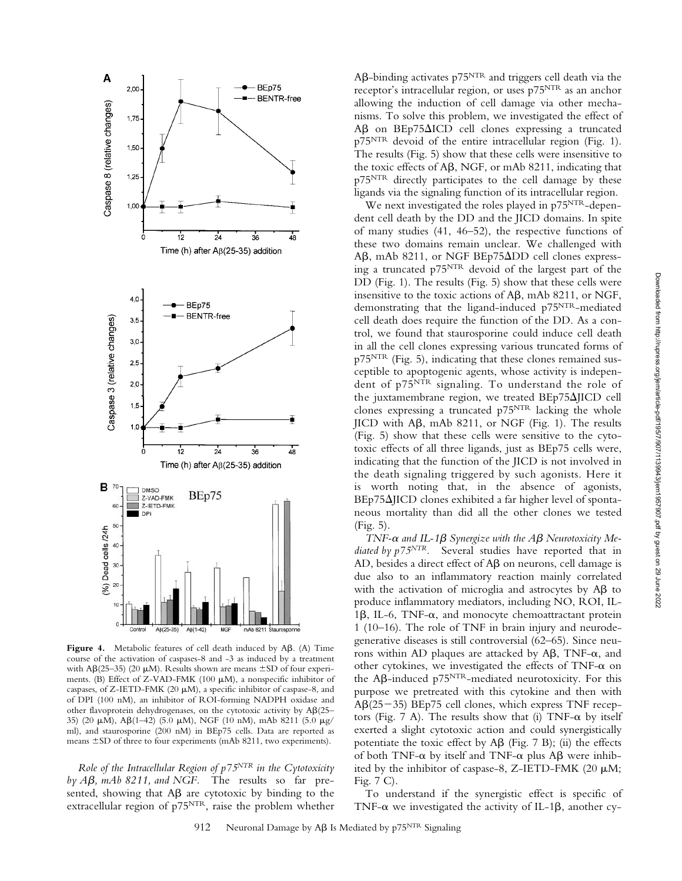

Figure 4. Metabolic features of cell death induced by A $\beta$ . (A) Time course of the activation of caspases-8 and -3 as induced by a treatment with A $\beta$ (25–35) (20  $\mu$ M). Results shown are means  $\pm$ SD of four experiments. (B) Effect of Z-VAD-FMK (100  $\mu$ M), a nonspecific inhibitor of caspases, of Z-IETD-FMK (20  $\mu$ M), a specific inhibitor of caspase-8, and of DPI (100 nM), an inhibitor of ROI-forming NADPH oxidase and other flavoprotein dehydrogenases, on the cytotoxic activity by  $A\beta(25-$ 35) (20  $\mu$ M), A $\beta$ (1–42) (5.0  $\mu$ M), NGF (10 nM), mAb 8211 (5.0  $\mu$ g/ ml), and staurosporine (200 nM) in BEp75 cells. Data are reported as means  $\pm$  SD of three to four experiments (mAb 8211, two experiments).

*Role of the Intracellular Region of p75NTR in the Cytotoxicity* by A $\beta$ , mAb 8211, and NGF. The results so far presented, showing that  $A\beta$  are cytotoxic by binding to the extracellular region of p75NTR, raise the problem whether

 $\mathsf{A}\mathsf{B}\text{-}$ binding activates p $75^\mathrm{NTR}$  and triggers cell death via the receptor's intracellular region, or uses p75NTR as an anchor allowing the induction of cell damage via other mechanisms. To solve this problem, we investigated the effect of Aß on BEp75 $\Delta$ ICD cell clones expressing a truncated p75<sup>NTR</sup> devoid of the entire intracellular region (Fig. 1). The results (Fig. 5) show that these cells were insensitive to the toxic effects of  $A\beta$ , NGF, or mAb 8211, indicating that p75NTR directly participates to the cell damage by these ligands via the signaling function of its intracellular region.

We next investigated the roles played in p75<sup>NTR</sup>-dependent cell death by the DD and the JICD domains. In spite of many studies (41, 46–52), the respective functions of these two domains remain unclear. We challenged with Aβ, mAb 8211, or NGF BEp75ΔDD cell clones expressing a truncated p75NTR devoid of the largest part of the DD (Fig. 1). The results (Fig. 5) show that these cells were insensitive to the toxic actions of  $A\beta$ , mAb 8211, or NGF, demonstrating that the ligand-induced p75NTR-mediated cell death does require the function of the DD. As a control, we found that staurosporine could induce cell death in all the cell clones expressing various truncated forms of p75NTR (Fig. 5), indicating that these clones remained susceptible to apoptogenic agents, whose activity is independent of p75NTR signaling. To understand the role of the juxtamembrane region, we treated BEp75 $\Delta$ JICD cell clones expressing a truncated p75NTR lacking the whole  $JICD$  with A $\beta$ , mAb 8211, or NGF (Fig. 1). The results (Fig. 5) show that these cells were sensitive to the cytotoxic effects of all three ligands, just as BEp75 cells were, indicating that the function of the JICD is not involved in the death signaling triggered by such agonists. Here it is worth noting that, in the absence of agonists,  $BEp75\Delta IICD$  clones exhibited a far higher level of spontaneous mortality than did all the other clones we tested (Fig. 5).

*TNF-* $\alpha$  *and IL-1* $\beta$  *Synergize with the A* $\beta$  *Neurotoxicity Mediated by p75NTR.* Several studies have reported that in AD, besides a direct effect of  $\mathsf{A}\mathsf{B}$  on neurons, cell damage is due also to an inflammatory reaction mainly correlated with the activation of microglia and astrocytes by  $AB$  to produce inflammatory mediators, including NO, ROI, IL-1 $\beta$ , IL-6, TNF- $\alpha$ , and monocyte chemoattractant protein 1 (10–16). The role of TNF in brain injury and neurodegenerative diseases is still controversial (62–65). Since neurons within AD plaques are attacked by  $\mathsf{A}\mathsf{B}$ , TNF- $\alpha$ , and other cytokines, we investigated the effects of  $TNF-\alpha$  on the A $\beta$ -induced p $75^{NTR}$ -mediated neurotoxicity. For this purpose we pretreated with this cytokine and then with AB(25-35) BEp75 cell clones, which express TNF receptors (Fig. 7 A). The results show that (i) TNF- $\alpha$  by itself exerted a slight cytotoxic action and could synergistically potentiate the toxic effect by  $\mathsf{A}\mathsf{B}$  (Fig. 7 B); (ii) the effects of both TNF- $\alpha$  by itself and TNF- $\alpha$  plus A $\beta$  were inhibited by the inhibitor of caspase-8, Z-IETD-FMK (20  $\mu$ M; Fig. 7 C).

To understand if the synergistic effect is specific of TNF- $\alpha$  we investigated the activity of IL-1 $\beta$ , another cy-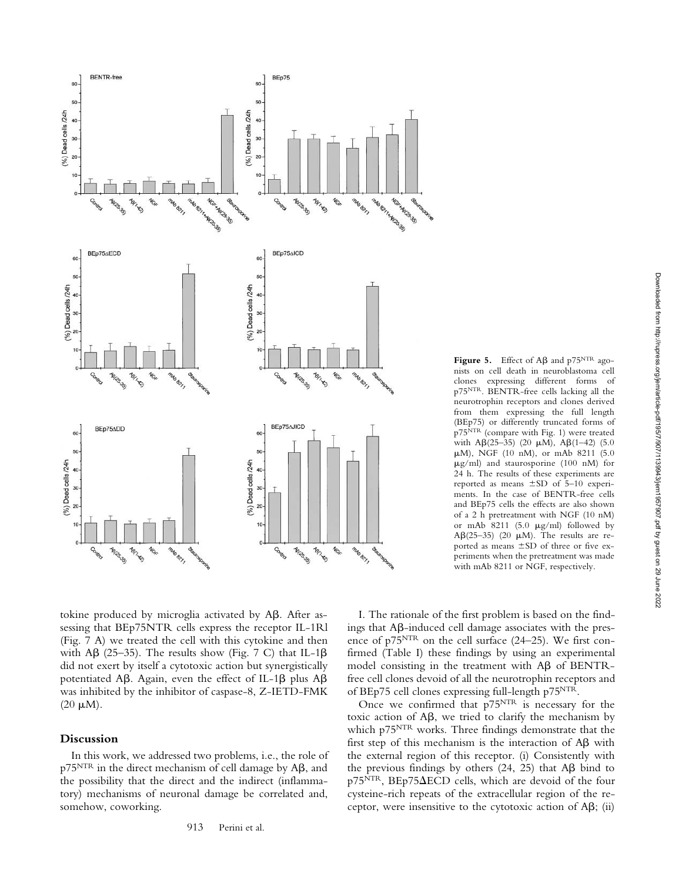

**Figure 5.** Effect of  $\mathbf{A}\boldsymbol{\beta}$  and  $p75^{NTR}$  agonists on cell death in neuroblastoma cell clones expressing different forms of p75NTR. BENTR-free cells lacking all the neurotrophin receptors and clones derived from them expressing the full length (BEp75) or differently truncated forms of p75NTR (compare with Fig. 1) were treated with  $A\beta(25-35)$  (20  $\mu$ M),  $A\beta(1-42)$  (5.0  $\mu$ M), NGF (10 nM), or mAb 8211 (5.0  $\mu$ g/ml) and staurosporine (100 nM) for 24 h. The results of these experiments are reported as means  $\pm$ SD of 5–10 experiments. In the case of BENTR-free cells and BEp75 cells the effects are also shown of a 2 h pretreatment with NGF (10 nM) or mAb  $8211$  (5.0  $\mu$ g/ml) followed by A $\beta$ (25–35) (20  $\mu$ M). The results are reported as means  $\pm$ SD of three or five experiments when the pretreatment was made with mAb 8211 or NGF, respectively.

tokine produced by microglia activated by  $A\beta$ . After assessing that BEp75NTR cells express the receptor IL-1Rl (Fig. 7 A) we treated the cell with this cytokine and then with A $\beta$  (25–35). The results show (Fig. 7 C) that IL-1 $\beta$ did not exert by itself a cytotoxic action but synergistically potentiated A $\beta$ . Again, even the effect of IL-1 $\beta$  plus A $\beta$ was inhibited by the inhibitor of caspase-8, Z-IETD-FMK  $(20 \mu M)$ .

#### **Discussion**

In this work, we addressed two problems, i.e., the role of p $75^{NTR}$  in the direct mechanism of cell damage by A $\beta$ , and the possibility that the direct and the indirect (inflammatory) mechanisms of neuronal damage be correlated and, somehow, coworking.

I. The rationale of the first problem is based on the findings that A $\beta$ -induced cell damage associates with the presence of p75NTR on the cell surface (24–25). We first confirmed (Table I) these findings by using an experimental model consisting in the treatment with  $\text{A}\beta$  of BENTRfree cell clones devoid of all the neurotrophin receptors and of BEp75 cell clones expressing full-length p75NTR.

Once we confirmed that p75<sup>NTR</sup> is necessary for the toxic action of  $A\beta$ , we tried to clarify the mechanism by which p75<sup>NTR</sup> works. Three findings demonstrate that the first step of this mechanism is the interaction of  $\mathsf{A}\mathsf{B}$  with the external region of this receptor. (i) Consistently with the previous findings by others  $(24, 25)$  that A $\beta$  bind to  $p75<sup>NTR</sup>$ , BEp75 $\triangle ECD$  cells, which are devoid of the four cysteine-rich repeats of the extracellular region of the receptor, were insensitive to the cytotoxic action of  $\mathsf{A}\mathsf{B}$ ; (ii)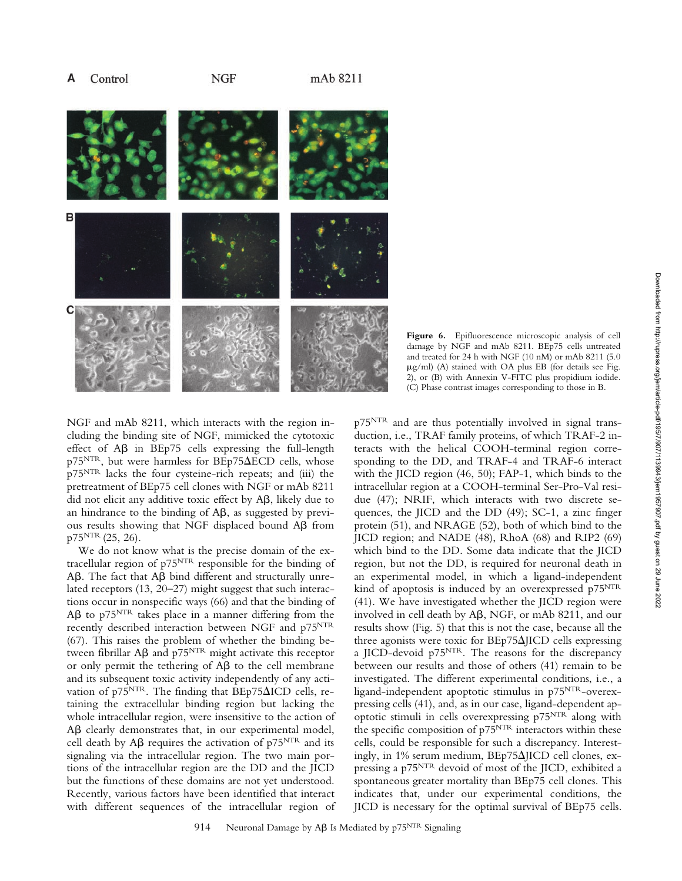#### Α Control

**NGF** 



**Figure 6.** Epifluorescence microscopic analysis of cell damage by NGF and mAb 8211. BEp75 cells untreated and treated for 24 h with NGF (10 nM) or mAb 8211 (5.0  $\mu$ g/ml) (A) stained with OA plus EB (for details see Fig. 2), or (B) with Annexin V-FITC plus propidium iodide. (C) Phase contrast images corresponding to those in B.

NGF and mAb 8211, which interacts with the region including the binding site of NGF, mimicked the cytotoxic effect of A $\beta$  in BEp75 cells expressing the full-length  $p75<sup>NTR</sup>$ , but were harmless for BEp75 $\Delta ECD$  cells, whose p75NTR lacks the four cysteine-rich repeats; and (iii) the pretreatment of BEp75 cell clones with NGF or mAb 8211 did not elicit any additive toxic effect by A $\beta$ , likely due to an hindrance to the binding of  $A\beta$ , as suggested by previous results showing that NGF displaced bound  $\mathsf{A}\mathsf{B}$  from  $p75<sup>NTR</sup> (25, 26)$ .

We do not know what is the precise domain of the extracellular region of p75NTR responsible for the binding of  $\Delta\beta$ . The fact that  $\Delta\beta$  bind different and structurally unrelated receptors (13, 20–27) might suggest that such interactions occur in nonspecific ways (66) and that the binding of  $\rm A\beta$  to p $\rm 75^{NTR}$  takes place in a manner differing from the recently described interaction between NGF and p75<sup>NTR</sup> (67). This raises the problem of whether the binding between fibrillar A $\beta$  and p $75^\mathrm{NTR}$  might activate this receptor or only permit the tethering of  $\mathsf{A}\mathsf{B}$  to the cell membrane and its subsequent toxic activity independently of any activation of p75<sup>NTR</sup>. The finding that  $BEp75\Delta ICD$  cells, retaining the extracellular binding region but lacking the whole intracellular region, were insensitive to the action of Aß clearly demonstrates that, in our experimental model, cell death by A $\beta$  requires the activation of p75<sup>NTR</sup> and its signaling via the intracellular region. The two main portions of the intracellular region are the DD and the JICD but the functions of these domains are not yet understood. Recently, various factors have been identified that interact with different sequences of the intracellular region of

p75NTR and are thus potentially involved in signal transduction, i.e., TRAF family proteins, of which TRAF-2 interacts with the helical COOH-terminal region corresponding to the DD, and TRAF-4 and TRAF-6 interact with the JICD region (46, 50); FAP-1, which binds to the intracellular region at a COOH-terminal Ser-Pro-Val residue (47); NRIF, which interacts with two discrete sequences, the JICD and the DD (49); SC-1, a zinc finger protein (51), and NRAGE (52), both of which bind to the JICD region; and NADE (48), RhoA (68) and RIP2 (69) which bind to the DD. Some data indicate that the JICD region, but not the DD, is required for neuronal death in an experimental model, in which a ligand-independent kind of apoptosis is induced by an overexpressed p75<sup>NTR</sup> (41). We have investigated whether the JICD region were involved in cell death by  $\mathsf{A}\mathsf{B}, \mathsf{NGF}, \text{or mAb 8211, and our}$ results show (Fig. 5) that this is not the case, because all the three agonists were toxic for  $BEp75\Delta IICD$  cells expressing a JICD-devoid p75NTR. The reasons for the discrepancy between our results and those of others (41) remain to be investigated. The different experimental conditions, i.e., a ligand-independent apoptotic stimulus in p75NTR-overexpressing cells (41), and, as in our case, ligand-dependent apoptotic stimuli in cells overexpressing p75NTR along with the specific composition of p75<sup>NTR</sup> interactors within these cells, could be responsible for such a discrepancy. Interestingly, in 1% serum medium, BEp75 $\Delta$ JICD cell clones, expressing a p75NTR devoid of most of the JICD, exhibited a spontaneous greater mortality than BEp75 cell clones. This indicates that, under our experimental conditions, the JICD is necessary for the optimal survival of BEp75 cells.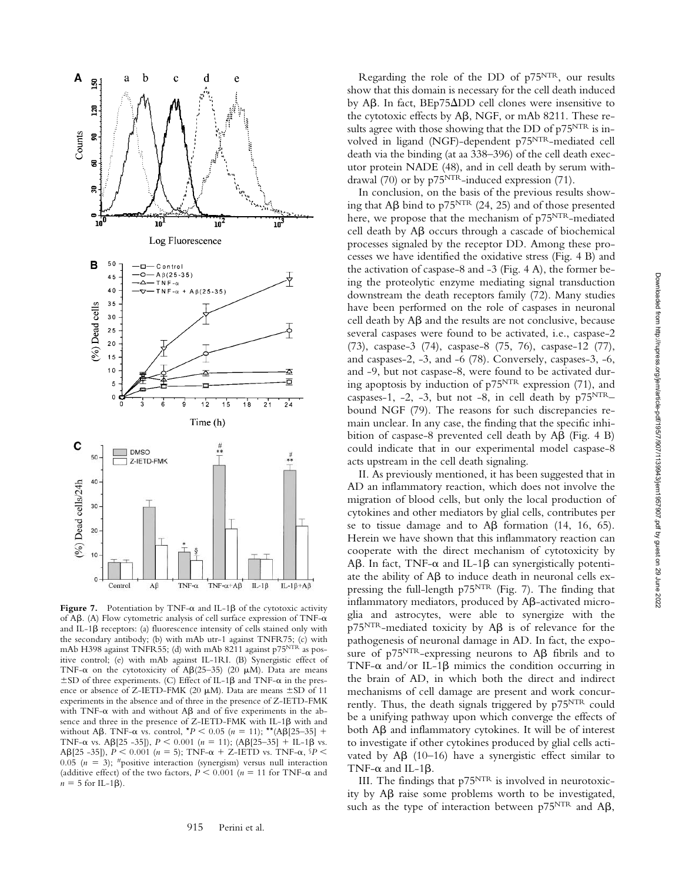

Figure 7. Potentiation by TNF- $\alpha$  and IL-1 $\beta$  of the cytotoxic activity of A $\beta$ . (A) Flow cytometric analysis of cell surface expression of TNF- $\alpha$ and IL-1 $\beta$  receptors: (a) fluorescence intensity of cells stained only with the secondary antibody; (b) with mAb utr-1 against TNFR75; (c) with mAb H398 against TNFR55; (d) with mAb 8211 against p75<sup>NTR</sup> as positive control; (e) with mAb against IL-1RI. (B) Synergistic effect of TNF- $\alpha$  on the cytotoxicity of A $\beta$ (25-35) (20  $\mu$ M). Data are means  $\pm$ SD of three experiments. (C) Effect of IL-1 $\beta$  and TNF- $\alpha$  in the presence or absence of Z-IETD-FMK (20  $\mu$ M). Data are means  $\pm$ SD of 11 experiments in the absence and of three in the presence of Z-IETD-FMK with TNF- $\alpha$  with and without A $\beta$  and of five experiments in the absence and three in the presence of Z-IETD-FMK with IL-1 $\beta$  with and without A $\beta$ . TNF- $\alpha$  vs. control,  $*P < 0.05$  ( $n = 11$ ); \*\*(A $\beta$ [25–35] + TNF- $\alpha$  vs. A $\beta$ [25 -35]),  $P < 0.001$  ( $n = 11$ ); (A $\beta$ [25–35] + IL-1 $\beta$  vs.  $\mathsf{AB}[25 - 35]$ ),  $P \le 0.001$  ( $n = 5$ ); TNF- $\alpha + Z$ -IETD vs. TNF- $\alpha$ ,  $P \le$ 0.05 ( $n = 3$ ); #positive interaction (synergism) versus null interaction (additive effect) of the two factors,  $P \le 0.001$  ( $n = 11$  for TNF- $\alpha$  and  $n = 5$  for IL-1 $\beta$ ).

915 Perini et al.

Regarding the role of the DD of p75NTR, our results show that this domain is necessary for the cell death induced by Aβ. In fact, BEp75 $ΔDD$  cell clones were insensitive to the cytotoxic effects by A $\beta$ , NGF, or mAb 8211. These results agree with those showing that the DD of p75<sup>NTR</sup> is involved in ligand (NGF)-dependent p75NTR-mediated cell death via the binding (at aa 338–396) of the cell death executor protein NADE (48), and in cell death by serum withdrawal (70) or by p75<sup>NTR</sup>-induced expression (71).

In conclusion, on the basis of the previous results showing that A $\beta$  bind to p75<sup>NTR</sup> (24, 25) and of those presented here, we propose that the mechanism of  $p75<sup>NTR</sup>$ -mediated cell death by  $A\beta$  occurs through a cascade of biochemical processes signaled by the receptor DD. Among these processes we have identified the oxidative stress (Fig. 4 B) and the activation of caspase-8 and -3 (Fig. 4 A), the former being the proteolytic enzyme mediating signal transduction downstream the death receptors family (72). Many studies have been performed on the role of caspases in neuronal cell death by  $A\beta$  and the results are not conclusive, because several caspases were found to be activated, i.e., caspase-2 (73), caspase-3 (74), caspase-8 (75, 76), caspase-12 (77), and caspases-2, -3, and -6 (78). Conversely, caspases-3, -6, and -9, but not caspase-8, were found to be activated during apoptosis by induction of p75NTR expression (71), and caspases-1, -2, -3, but not -8, in cell death by  $p75^{NTR}$ bound NGF (79). The reasons for such discrepancies remain unclear. In any case, the finding that the specific inhibition of caspase-8 prevented cell death by  $\mathsf{AB}$  (Fig. 4 B) could indicate that in our experimental model caspase-8 acts upstream in the cell death signaling.

II. As previously mentioned, it has been suggested that in AD an inflammatory reaction, which does not involve the migration of blood cells, but only the local production of cytokines and other mediators by glial cells, contributes per se to tissue damage and to  $\mathsf{AB}$  formation (14, 16, 65). Herein we have shown that this inflammatory reaction can cooperate with the direct mechanism of cytotoxicity by  $\Delta\beta$ . In fact, TNF- $\alpha$  and IL-1 $\beta$  can synergistically potentiate the ability of  $A\beta$  to induce death in neuronal cells expressing the full-length p75NTR (Fig. 7). The finding that  $inflammatory$  mediators, produced by  $A\beta$ -activated microglia and astrocytes, were able to synergize with the  $p75<sup>NTR</sup>$ -mediated toxicity by A $\beta$  is of relevance for the pathogenesis of neuronal damage in AD. In fact, the exposure of p $75^{NTR}$ -expressing neurons to A $\beta$  fibrils and to TNF- $\alpha$  and/or IL-1 $\beta$  mimics the condition occurring in the brain of AD, in which both the direct and indirect mechanisms of cell damage are present and work concurrently. Thus, the death signals triggered by p75NTR could be a unifying pathway upon which converge the effects of both A $\beta$  and inflammatory cytokines. It will be of interest to investigate if other cytokines produced by glial cells activated by  $AB$  (10-16) have a synergistic effect similar to TNF- $\alpha$  and IL-1 $\beta$ .

III. The findings that  $p75<sup>NTR</sup>$  is involved in neurotoxicity by A $\beta$  raise some problems worth to be investigated, such as the type of interaction between  $p75^{NTR}$  and A $\beta$ ,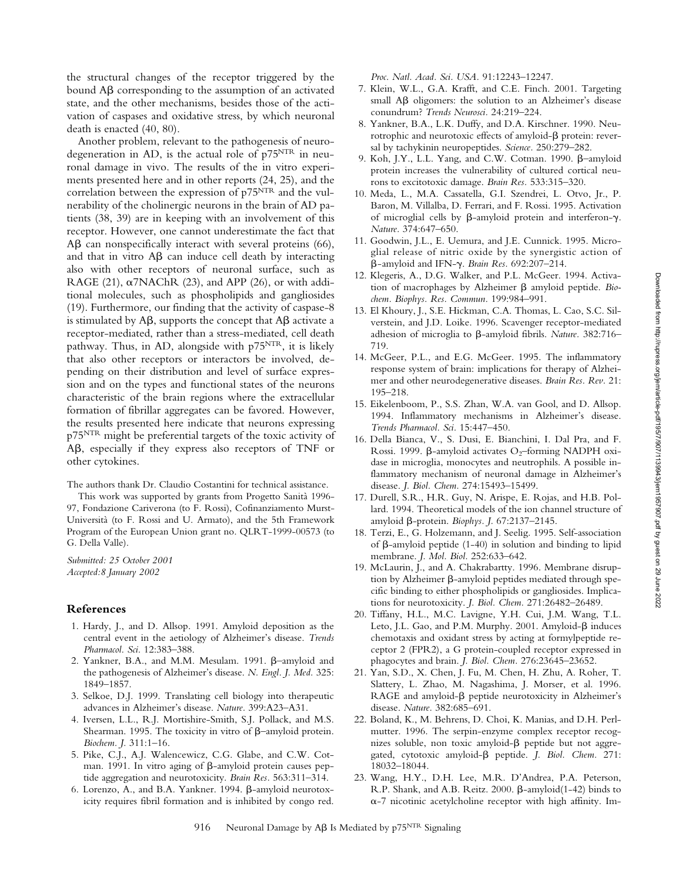7. Klein, W.L., G.A. Krafft, and C.E. Finch. 2001. Targeting small A $\beta$  oligomers: the solution to an Alzheimer's disease conundrum? *Trends Neurosci.* 24:219–224. 8. Yankner, B.A., L.K. Duffy, and D.A. Kirschner. 1990. Neurotrophic and neurotoxic effects of amyloid- $\beta$  protein: reversal by tachykinin neuropeptides. *Science.* 250:279–282. 9. Koh, J.Y., L.L. Yang, and C.W. Cotman. 1990. B-amyloid protein increases the vulnerability of cultured cortical neurons to excitotoxic damage. *Brain Res.* 533:315–320. 10. Meda, L., M.A. Cassatella, G.I. Szendrei, L. Otvo, Jr., P.

Baron, M. Villalba, D. Ferrari, and F. Rossi. 1995. Activation of microglial cells by  $\beta$ -amyloid protein and interferon- $\gamma$ . *Nature.* 374:647–650.

*Proc. Natl. Acad. Sci. USA.* 91:12243–12247.

- 11. Goodwin, J.L., E. Uemura, and J.E. Cunnick. 1995. Microglial release of nitric oxide by the synergistic action of β-amyloid and IFN-γ. Brain Res. 692:207-214.
- 12. Klegeris, A., D.G. Walker, and P.L. McGeer. 1994. Activation of macrophages by Alzheimer  $\beta$  amyloid peptide. *Biochem. Biophys. Res. Commun.* 199:984–991.
- 13. El Khoury, J., S.E. Hickman, C.A. Thomas, L. Cao, S.C. Silverstein, and J.D. Loike. 1996. Scavenger receptor-mediated adhesion of microglia to  $\beta$ -amyloid fibrils. Nature. 382:716– 719.
- 14. McGeer, P.L., and E.G. McGeer. 1995. The inflammatory response system of brain: implications for therapy of Alzheimer and other neurodegenerative diseases. *Brain Res. Rev.* 21: 195–218.
- 15. Eikelenboom, P., S.S. Zhan, W.A. van Gool, and D. Allsop. 1994. Inflammatory mechanisms in Alzheimer's disease. *Trends Pharmacol. Sci.* 15:447–450.
- 16. Della Bianca, V., S. Dusi, E. Bianchini, I. Dal Pra, and F. Rossi. 1999.  $\beta$ -amyloid activates O<sub>2</sub>-forming NADPH oxidase in microglia, monocytes and neutrophils. A possible inflammatory mechanism of neuronal damage in Alzheimer's disease. *J. Biol. Chem.* 274:15493–15499.
- 17. Durell, S.R., H.R. Guy, N. Arispe, E. Rojas, and H.B. Pollard. 1994. Theoretical models of the ion channel structure of amyloid  $\beta$ -protein. *Biophys. J.* 67:2137–2145.
- 18. Terzi, E., G. Holzemann, and J. Seelig. 1995. Self-association of  $\beta$ -amyloid peptide (1-40) in solution and binding to lipid membrane. *J. Mol. Biol.* 252:633–642.
- 19. McLaurin, J., and A. Chakrabartty. 1996. Membrane disruption by Alzheimer  $\beta$ -amyloid peptides mediated through specific binding to either phospholipids or gangliosides. Implications for neurotoxicity. *J. Biol. Chem.* 271:26482–26489.
- 20. Tiffany, H.L., M.C. Lavigne, Y.H. Cui, J.M. Wang, T.L. Leto, J.L. Gao, and P.M. Murphy. 2001. Amyloid- $\beta$  induces chemotaxis and oxidant stress by acting at formylpeptide receptor 2 (FPR2), a G protein-coupled receptor expressed in phagocytes and brain. *J. Biol. Chem.* 276:23645–23652.
- 21. Yan, S.D., X. Chen, J. Fu, M. Chen, H. Zhu, A. Roher, T. Slattery, L. Zhao, M. Nagashima, J. Morser, et al. 1996. RAGE and amyloid- $\beta$  peptide neurotoxicity in Alzheimer's disease. *Nature.* 382:685–691.
- 22. Boland, K., M. Behrens, D. Choi, K. Manias, and D.H. Perlmutter. 1996. The serpin-enzyme complex receptor recognizes soluble, non toxic amyloid- $\beta$  peptide but not aggregated, cytotoxic amyloid- $\beta$  peptide. *J. Biol. Chem.* 271: 18032–18044.
- 23. Wang, H.Y., D.H. Lee, M.R. D'Andrea, P.A. Peterson, R.P. Shank, and A.B. Reitz. 2000.  $\beta$ -amyloid(1-42) binds to  $\alpha$ -7 nicotinic acetylcholine receptor with high affinity. Im-

the structural changes of the receptor triggered by the bound  $\Delta\beta$  corresponding to the assumption of an activated state, and the other mechanisms, besides those of the activation of caspases and oxidative stress, by which neuronal death is enacted (40, 80).

Another problem, relevant to the pathogenesis of neurodegeneration in AD, is the actual role of p75NTR in neuronal damage in vivo. The results of the in vitro experiments presented here and in other reports (24, 25), and the correlation between the expression of p75NTR and the vulnerability of the cholinergic neurons in the brain of AD patients (38, 39) are in keeping with an involvement of this receptor. However, one cannot underestimate the fact that  $\text{A}\beta$  can nonspecifically interact with several proteins (66), and that in vitro  $A\beta$  can induce cell death by interacting also with other receptors of neuronal surface, such as RAGE (21),  $\alpha$ 7NAChR (23), and APP (26), or with additional molecules, such as phospholipids and gangliosides (19). Furthermore, our finding that the activity of caspase-8 is stimulated by A $\beta$ , supports the concept that A $\beta$  activate a receptor-mediated, rather than a stress-mediated, cell death pathway. Thus, in AD, alongside with  $p75<sup>NTR</sup>$ , it is likely that also other receptors or interactors be involved, depending on their distribution and level of surface expression and on the types and functional states of the neurons characteristic of the brain regions where the extracellular formation of fibrillar aggregates can be favored. However, the results presented here indicate that neurons expressing p75NTR might be preferential targets of the toxic activity of AB, especially if they express also receptors of TNF or other cytokines.

The authors thank Dr. Claudio Costantini for technical assistance.

This work was supported by grants from Progetto Sanità 1996- 97, Fondazione Cariverona (to F. Rossi), Cofinanziamento Murst-Università (to F. Rossi and U. Armato), and the 5th Framework Program of the European Union grant no. QLRT-1999-00573 (to G. Della Valle).

*Submitted: 25 October 2001 Accepted:8 January 2002*

#### **References**

- 1. Hardy, J., and D. Allsop. 1991. Amyloid deposition as the central event in the aetiology of Alzheimer's disease. *Trends Pharmacol. Sci.* 12:383–388.
- 2. Yankner, B.A., and M.M. Mesulam. 1991. B-amyloid and the pathogenesis of Alzheimer's disease. *N. Engl. J. Med.* 325: 1849–1857.
- 3. Selkoe, D.J. 1999. Translating cell biology into therapeutic advances in Alzheimer's disease. *Nature.* 399:A23–A31.
- 4. Iversen, L.L., R.J. Mortishire-Smith, S.J. Pollack, and M.S. Shearman. 1995. The toxicity in vitro of  $\beta$ -amyloid protein. *Biochem. J.* 311:1–16.
- 5. Pike, C.J., A.J. Walencewicz, C.G. Glabe, and C.W. Cotman. 1991. In vitro aging of  $\beta$ -amyloid protein causes peptide aggregation and neurotoxicity. *Brain Res.* 563:311–314.
- 6. Lorenzo, A., and B.A. Yankner. 1994.  $\beta$ -amyloid neurotoxicity requires fibril formation and is inhibited by congo red.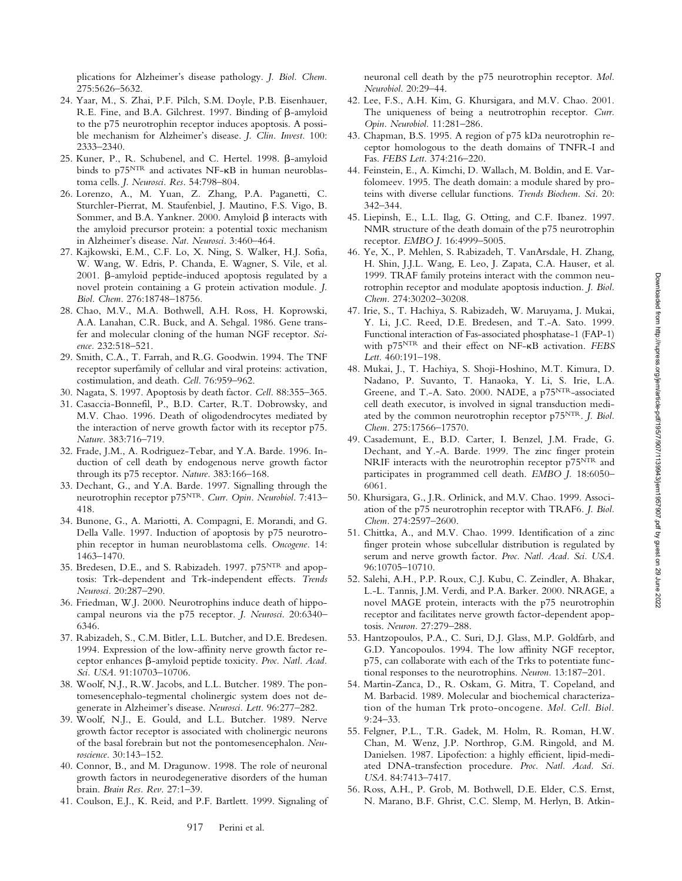plications for Alzheimer's disease pathology. *J. Biol. Chem.* 275:5626–5632.

- 24. Yaar, M., S. Zhai, P.F. Pilch, S.M. Doyle, P.B. Eisenhauer, R.E. Fine, and B.A. Gilchrest. 1997. Binding of  $\beta$ -amyloid to the p75 neurotrophin receptor induces apoptosis. A possible mechanism for Alzheimer's disease. *J. Clin. Invest.* 100: 2333–2340.
- 25. Kuner, P., R. Schubenel, and C. Hertel. 1998. B-amyloid binds to p75NTR and activates NF-KB in human neuroblastoma cells. *J. Neurosci. Res.* 54:798–804.
- 26. Lorenzo, A., M. Yuan, Z. Zhang, P.A. Paganetti, C. Sturchler-Pierrat, M. Staufenbiel, J. Mautino, F.S. Vigo, B. Sommer, and B.A. Yankner. 2000. Amyloid  $\beta$  interacts with the amyloid precursor protein: a potential toxic mechanism in Alzheimer's disease. *Nat. Neurosci.* 3:460–464.
- 27. Kajkowski, E.M., C.F. Lo, X. Ning, S. Walker, H.J. Sofia, W. Wang, W. Edris, P. Chanda, E. Wagner, S. Vile, et al. 2001. B-amyloid peptide-induced apoptosis regulated by a novel protein containing a G protein activation module. *J. Biol. Chem.* 276:18748–18756.
- 28. Chao, M.V., M.A. Bothwell, A.H. Ross, H. Koprowski, A.A. Lanahan, C.R. Buck, and A. Sehgal. 1986. Gene transfer and molecular cloning of the human NGF receptor. *Science.* 232:518–521.
- 29. Smith, C.A., T. Farrah, and R.G. Goodwin. 1994. The TNF receptor superfamily of cellular and viral proteins: activation, costimulation, and death. *Cell.* 76:959–962.
- 30. Nagata, S. 1997. Apoptosis by death factor. *Cell.* 88:355–365.
- 31. Casaccia-Bonnefil, P., B.D. Carter, R.T. Dobrowsky, and M.V. Chao. 1996. Death of oligodendrocytes mediated by the interaction of nerve growth factor with its receptor p75. *Nature.* 383:716–719.
- 32. Frade, J.M., A. Rodriguez-Tebar, and Y.A. Barde. 1996. Induction of cell death by endogenous nerve growth factor through its p75 receptor. *Nature.* 383:166–168.
- 33. Dechant, G., and Y.A. Barde. 1997. Signalling through the neurotrophin receptor p75NTR. *Curr. Opin. Neurobiol.* 7:413– 418.
- 34. Bunone, G., A. Mariotti, A. Compagni, E. Morandi, and G. Della Valle. 1997. Induction of apoptosis by p75 neurotrophin receptor in human neuroblastoma cells. *Oncogene.* 14: 1463–1470.
- 35. Bredesen, D.E., and S. Rabizadeh. 1997. p75NTR and apoptosis: Trk-dependent and Trk-independent effects. *Trends Neurosci.* 20:287–290.
- 36. Friedman, W.J. 2000. Neurotrophins induce death of hippocampal neurons via the p75 receptor. *J. Neurosci.* 20:6340– 6346.
- 37. Rabizadeh, S., C.M. Bitler, L.L. Butcher, and D.E. Bredesen. 1994. Expression of the low-affinity nerve growth factor receptor enhances  $\beta$ -amyloid peptide toxicity. Proc. Natl. Acad. *Sci. USA.* 91:10703–10706.
- 38. Woolf, N.J., R.W. Jacobs, and L.L. Butcher. 1989. The pontomesencephalo-tegmental cholinergic system does not degenerate in Alzheimer's disease. *Neurosci. Lett.* 96:277–282.
- 39. Woolf, N.J., E. Gould, and L.L. Butcher. 1989. Nerve growth factor receptor is associated with cholinergic neurons of the basal forebrain but not the pontomesencephalon. *Neuroscience.* 30:143–152.
- 40. Connor, B., and M. Dragunow. 1998. The role of neuronal growth factors in neurodegenerative disorders of the human brain. *Brain Res. Rev.* 27:1–39.
- 41. Coulson, E.J., K. Reid, and P.F. Bartlett. 1999. Signaling of

neuronal cell death by the p75 neurotrophin receptor. *Mol. Neurobiol.* 20:29–44.

- 42. Lee, F.S., A.H. Kim, G. Khursigara, and M.V. Chao. 2001. The uniqueness of being a neutrotrophin receptor. *Curr. Opin. Neurobiol.* 11:281–286.
- 43. Chapman, B.S. 1995. A region of p75 kDa neurotrophin receptor homologous to the death domains of TNFR-I and Fas. *FEBS Lett.* 374:216–220.
- 44. Feinstein, E., A. Kimchi, D. Wallach, M. Boldin, and E. Varfolomeev. 1995. The death domain: a module shared by proteins with diverse cellular functions. *Trends Biochem. Sci.* 20: 342–344.
- 45. Liepinsh, E., L.L. Ilag, G. Otting, and C.F. Ibanez. 1997. NMR structure of the death domain of the p75 neurotrophin receptor. *EMBO J.* 16:4999–5005.
- 46. Ye, X., P. Mehlen, S. Rabizadeh, T. VanArsdale, H. Zhang, H. Shin, J.J.L. Wang, E. Leo, J. Zapata, C.A. Hauser, et al. 1999. TRAF family proteins interact with the common neurotrophin receptor and modulate apoptosis induction. *J. Biol. Chem.* 274:30202–30208.
- 47. Irie, S., T. Hachiya, S. Rabizadeh, W. Maruyama, J. Mukai, Y. Li, J.C. Reed, D.E. Bredesen, and T.-A. Sato. 1999. Functional interaction of Fas-associated phosphatase-1 (FAP-1) with p75NTR and their effect on NF- B activation. *FEBS Lett.* 460:191–198.
- 48. Mukai, J., T. Hachiya, S. Shoji-Hoshino, M.T. Kimura, D. Nadano, P. Suvanto, T. Hanaoka, Y. Li, S. Irie, L.A. Greene, and T.-A. Sato. 2000. NADE, a p75NTR-associated cell death executor, is involved in signal transduction mediated by the common neurotrophin receptor p75NTR. *J. Biol. Chem.* 275:17566–17570.
- 49. Casademunt, E., B.D. Carter, I. Benzel, J.M. Frade, G. Dechant, and Y.-A. Barde. 1999. The zinc finger protein NRIF interacts with the neurotrophin receptor p75<sup>NTR</sup> and participates in programmed cell death. *EMBO J.* 18:6050– 6061.
- 50. Khursigara, G., J.R. Orlinick, and M.V. Chao. 1999. Association of the p75 neurotrophin receptor with TRAF6. *J. Biol. Chem.* 274:2597–2600.
- 51. Chittka, A., and M.V. Chao. 1999. Identification of a zinc finger protein whose subcellular distribution is regulated by serum and nerve growth factor. *Proc. Natl. Acad. Sci. USA.* 96:10705–10710.
- 52. Salehi, A.H., P.P. Roux, C.J. Kubu, C. Zeindler, A. Bhakar, L.-L. Tannis, J.M. Verdi, and P.A. Barker. 2000. NRAGE, a novel MAGE protein, interacts with the p75 neurotrophin receptor and facilitates nerve growth factor-dependent apoptosis. *Neuron.* 27:279–288.
- 53. Hantzopoulos, P.A., C. Suri, D.J. Glass, M.P. Goldfarb, and G.D. Yancopoulos. 1994. The low affinity NGF receptor, p75, can collaborate with each of the Trks to potentiate functional responses to the neurotrophins. *Neuron.* 13:187–201.
- 54. Martin-Zanca, D., R. Oskam, G. Mitra, T. Copeland, and M. Barbacid. 1989. Molecular and biochemical characterization of the human Trk proto-oncogene. *Mol. Cell. Biol.* 9:24–33.
- 55. Felgner, P.L., T.R. Gadek, M. Holm, R. Roman, H.W. Chan, M. Wenz, J.P. Northrop, G.M. Ringold, and M. Danielsen. 1987. Lipofection: a highly efficient, lipid-mediated DNA-transfection procedure. *Proc. Natl. Acad. Sci. USA.* 84:7413–7417.
- 56. Ross, A.H., P. Grob, M. Bothwell, D.E. Elder, C.S. Ernst, N. Marano, B.F. Ghrist, C.C. Slemp, M. Herlyn, B. Atkin-